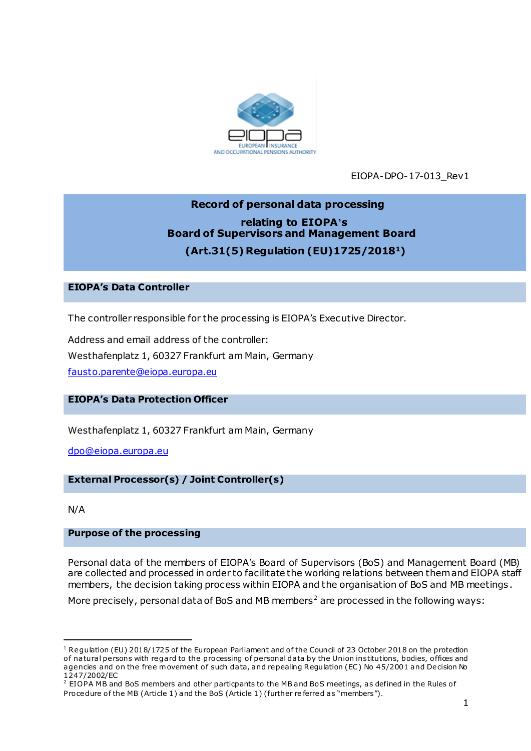

EIOPA-DPO-17-013\_Rev1

# **Record of personal data processing relating to EIOPA's Board of Supervisors and Management Board (Art.31(5) Regulation (EU)1725/20181)**

## **EIOPA's Data Controller**

The controller responsible for the processing is EIOPA's Executive Director.

Address and email address of the controller: Westhafenplatz 1, 60327 Frankfurt am Main, Germany [fausto.parente@eiopa.europa.eu](mailto:fausto.parente@eiopa.europa.eu)

# **EIOPA's Data Protection Officer**

Westhafenplatz 1, 60327 Frankfurt am Main, Germany

[dpo@eiopa.europa.eu](mailto:dpo@eiopa.europa.eu)

#### **External Processor(s) / Joint Controller(s)**

N/A

1

## **Purpose of the processing**

Personal data of the members of EIOPA's Board of Supervisors (BoS) and Management Board (MB) are collected and processed in order to facilitate the working relations between them and EIOPA staff members, the decision taking process within EIOPA and the organisation of BoS and MB meetings.

More precisely, personal data of BoS and MB members<sup>2</sup> are processed in the following ways:

<sup>&</sup>lt;sup>1</sup> Regulation (EU) 2018/1725 of the European Parliament and of the Council of 23 October 2018 on the protection of natural persons with regard to the processing of personal data by the Union institutions, bodies, offices and agencies and on the free movement of such data, and repealing Regulation (EC) No 45/2001 and Decision No 1247/2002/EC

<sup>&</sup>lt;sup>2</sup> EIOPA MB and BoS members and other particpants to the MB and BoS meetings, as defined in the Rules of Procedure of the MB (Article 1) and the BoS (Article 1) (further referred as "members").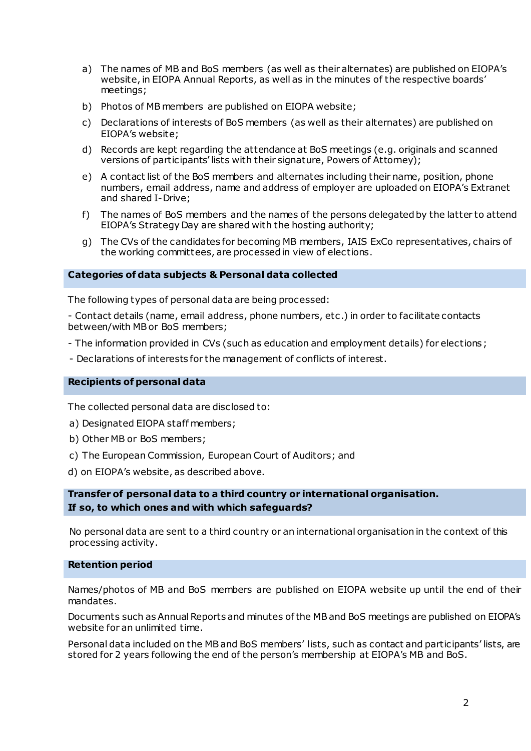- a) The names of MB and BoS members (as well as their alternates) are published on EIOPA's website, in EIOPA Annual Reports, as well as in the minutes of the respective boards' meetings;
- b) Photos of MB members are published on EIOPA website;
- c) Declarations of interests of BoS members (as well as their alternates) are published on EIOPA's website;
- d) Records are kept regarding the attendance at BoS meetings (e.g. originals and scanned versions of participants' lists with their signature, Powers of Attorney);
- e) A contact list of the BoS members and alternates including their name, position, phone numbers, email address, name and address of employer are uploaded on EIOPA's Extranet and shared I-Drive;
- f) The names of BoS members and the names of the persons delegated by the latter to attend EIOPA's Strategy Day are shared with the hosting authority;
- g) The CVs of the candidates for becoming MB members, IAIS ExCo representatives, chairs of the working committees, are processed in view of elections.

#### **Categories of data subjects & Personal data collected**

The following types of personal data are being processed:

- Contact details (name, email address, phone numbers, etc .) in order to facilitate contacts between/with MB or BoS members;

- The information provided in CVs (such as education and employment details) for elections;
- Declarations of interests for the management of conflicts of interest.

#### **Recipients of personal data**

The collected personal data are disclosed to:

- a) Designated EIOPA staff members;
- b) Other MB or BoS members;
- c) The European Commission, European Court of Auditors; and
- d) on EIOPA's website, as described above.

## **Transfer of personal data to a third country or international organisation. If so, to which ones and with which safeguards?**

No personal data are sent to a third country or an international organisation in the context of this processing activity.

#### **Retention period**

Names/photos of MB and BoS members are published on EIOPA website up until the end of their mandates.

Documents such as Annual Reports and minutes of the MB and BoS meetings are published on EIOPA's website for an unlimited time.

Personal data included on the MB and BoS members' lists, such as contact and participants' lists, are stored for 2 years following the end of the person's membership at EIOPA's MB and BoS.